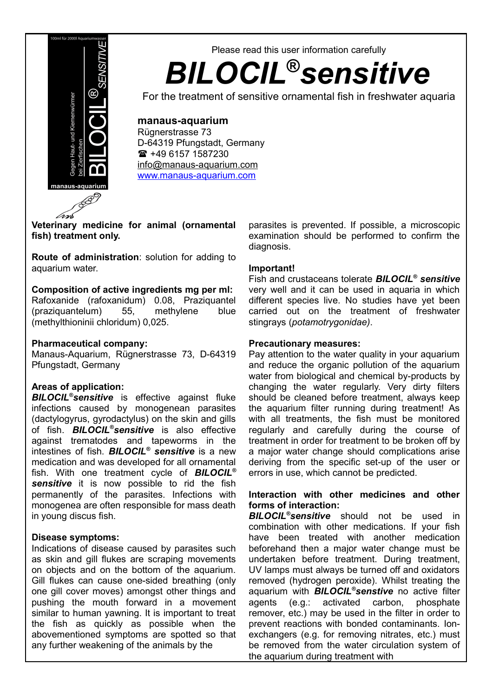

# Please read this user information carefully *BILOCIL***®***sensitive*

For the treatment of sensitive ornamental fish in freshwater aquaria

# **manaus-aquarium**

Rügnerstrasse 73 D-64319 Pfungstadt, Germany +49 6157 1587230 [info@manaus-aquarium.com](mailto:info@manaus-aquarium.com) [www.manaus-aquarium.com](http://www.manaus-aquarium.com/)

**Veterinary medicine for animal (ornamental fish) treatment only.**

**Route of administration**: solution for adding to aquarium water.

#### **Composition of active ingredients mg per ml:**

Rafoxanide (rafoxanidum) 0.08, Praziquantel (praziquantelum) 55, methylene blue (methylthioninii chloridum) 0,025.

#### **Pharmaceutical company:**

Manaus-Aquarium, Rügnerstrasse 73, D-64319 Pfungstadt, Germany

# **Areas of application:**

*BILOCIL®sensitive* is effective against fluke infections caused by monogenean parasites (dactylogyrus, gyrodactylus) on the skin and gills of fish. *BILOCIL®sensitive* is also effective against trematodes and tapeworms in the intestines of fish. *BILOCIL® sensitive* is a new medication and was developed for all ornamental fish. With one treatment cycle of *BILOCIL® sensitive* it is now possible to rid the fish permanently of the parasites. Infections with monogenea are often responsible for mass death in young discus fish.

# **Disease symptoms:**

Indications of disease caused by parasites such as skin and gill flukes are scraping movements on objects and on the bottom of the aquarium. Gill flukes can cause one-sided breathing (only one gill cover moves) amongst other things and pushing the mouth forward in a movement similar to human yawning. It is important to treat the fish as quickly as possible when the abovementioned symptoms are spotted so that any further weakening of the animals by the

parasites is prevented. If possible, a microscopic examination should be performed to confirm the diagnosis.

## **Important!**

Fish and crustaceans tolerate *BILOCIL® sensitive* very well and it can be used in aquaria in which different species live. No studies have yet been carried out on the treatment of freshwater stingrays (*potamotrygonidae)*.

## **Precautionary measures:**

Pay attention to the water quality in your aquarium and reduce the organic pollution of the aquarium water from biological and chemical by-products by changing the water regularly. Very dirty filters should be cleaned before treatment, always keep the aquarium filter running during treatment! As with all treatments, the fish must be monitored regularly and carefully during the course of treatment in order for treatment to be broken off by a major water change should complications arise deriving from the specific set-up of the user or errors in use, which cannot be predicted.

#### **Interaction with other medicines and other forms of interaction:**

*BILOCIL®sensitive* should not be used in combination with other medications. If your fish have been treated with another medication beforehand then a major water change must be undertaken before treatment. During treatment, UV lamps must always be turned off and oxidators removed (hydrogen peroxide). Whilst treating the aquarium with *BILOCIL®senstive* no active filter agents (e.g.: activated carbon, phosphate remover, etc.) may be used in the filter in order to prevent reactions with bonded contaminants. Ionexchangers (e.g. for removing nitrates, etc.) must be removed from the water circulation system of the aquarium during treatment with